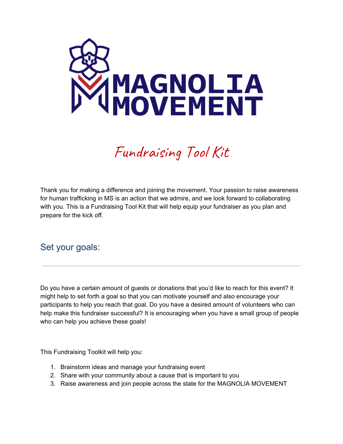

# Fundraising Tool Kit

Thank you for making a difference and joining the movement. Your passion to raise awareness for human trafficking in MS is an action that we admire, and we look forward to collaborating with you. This is a Fundraising Tool Kit that will help equip your fundraiser as you plan and prepare for the kick off.

## Set your goals:

Do you have a certain amount of guests or donations that you'd like to reach for this event? It might help to set forth a goal so that you can motivate yourself and also encourage your participants to help you reach that goal. Do you have a desired amount of volunteers who can help make this fundraiser successful? It is encouraging when you have a small group of people who can help you achieve these goals!

This Fundraising Toolkit will help you:

- 1. Brainstorm ideas and manage your fundraising event
- 2. Share with your community about a cause that is important to you
- 3. Raise awareness and join people across the state for the MAGNOLIA MOVEMENT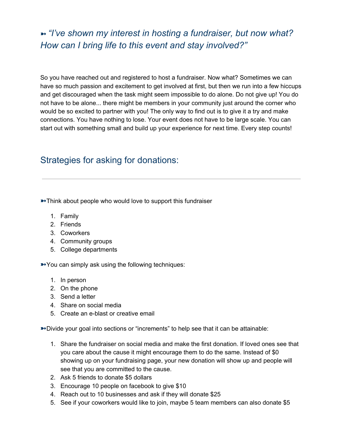# ➼ *"I've shown my interest in hosting a fundraiser, but now what? How can I bring life to this event and stay involved?"*

So you have reached out and registered to host a fundraiser. Now what? Sometimes we can have so much passion and excitement to get involved at first, but then we run into a few hiccups and get discouraged when the task might seem impossible to do alone. Do not give up! You do not have to be alone... there might be members in your community just around the corner who would be so excited to partner with you! The only way to find out is to give it a try and make connections. You have nothing to lose. Your event does not have to be large scale. You can start out with something small and build up your experience for next time. Every step counts!

# Strategies for asking for donations:

**→ Think about people who would love to support this fundraiser** 

- 1. Family
- 2. Friends
- 3. Coworkers
- 4. Community groups
- 5. College departments

➼You can simply ask using the following techniques:

- 1. In person
- 2. On the phone
- 3. Send a letter
- 4. Share on social media
- 5. Create an e-blast or creative email

➼Divide your goal into sections or "increments" to help see that it can be attainable:

- 1. Share the fundraiser on social media and make the first donation. If loved ones see that you care about the cause it might encourage them to do the same. Instead of \$0 showing up on your fundraising page, your new donation will show up and people will see that you are committed to the cause.
- 2. Ask 5 friends to donate \$5 dollars
- 3. Encourage 10 people on facebook to give \$10
- 4. Reach out to 10 businesses and ask if they will donate \$25
- 5. See if your coworkers would like to join, maybe 5 team members can also donate \$5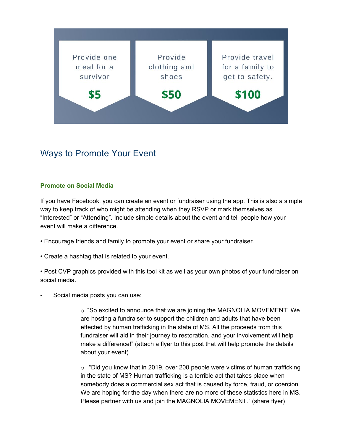

## Ways to Promote Your Event

#### **Promote on Social Media**

If you have Facebook, you can create an event or fundraiser using the app. This is also a simple way to keep track of who might be attending when they RSVP or mark themselves as "Interested" or "Attending". Include simple details about the event and tell people how your event will make a difference.

- Encourage friends and family to promote your event or share your fundraiser.
- Create a hashtag that is related to your event.

• Post CVP graphics provided with this tool kit as well as your own photos of your fundraiser on social media.

Social media posts you can use:

 $\circ$  "So excited to announce that we are joining the MAGNOLIA MOVEMENT! We are hosting a fundraiser to support the children and adults that have been effected by human trafficking in the state of MS. All the proceeds from this fundraiser will aid in their journey to restoration, and your involvement will help make a difference!" (attach a flyer to this post that will help promote the details about your event)

 $\circ$  "Did you know that in 2019, over 200 people were victims of human trafficking in the state of MS? Human trafficking is a terrible act that takes place when somebody does a commercial sex act that is caused by force, fraud, or coercion. We are hoping for the day when there are no more of these statistics here in MS. Please partner with us and join the MAGNOLIA MOVEMENT." (share flyer)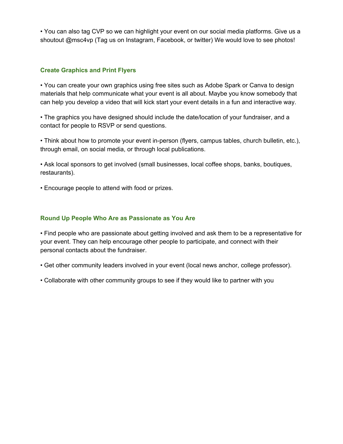• You can also tag CVP so we can highlight your event on our social media platforms. Give us a shoutout @msc4vp (Tag us on Instagram, Facebook, or twitter) We would love to see photos!

#### **Create Graphics and Print Flyers**

• You can create your own graphics using free sites such as Adobe Spark or Canva to design materials that help communicate what your event is all about. Maybe you know somebody that can help you develop a video that will kick start your event details in a fun and interactive way.

• The graphics you have designed should include the date/location of your fundraiser, and a contact for people to RSVP or send questions.

• Think about how to promote your event in-person (flyers, campus tables, church bulletin, etc.), through email, on social media, or through local publications.

• Ask local sponsors to get involved (small businesses, local coffee shops, banks, boutiques, restaurants).

• Encourage people to attend with food or prizes.

#### **Round Up People Who Are as Passionate as You Are**

• Find people who are passionate about getting involved and ask them to be a representative for your event. They can help encourage other people to participate, and connect with their personal contacts about the fundraiser.

• Get other community leaders involved in your event (local news anchor, college professor).

• Collaborate with other community groups to see if they would like to partner with you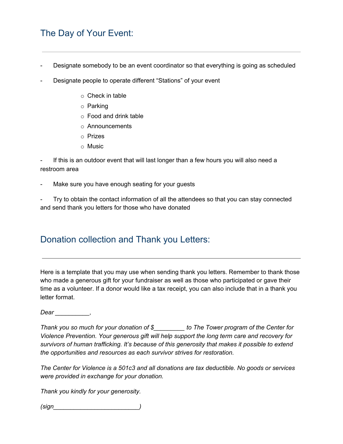# The Day of Your Event:

- Designate somebody to be an event coordinator so that everything is going as scheduled
- Designate people to operate different "Stations" of your event
	- o Check in table
	- o Parking
	- o Food and drink table
	- o Announcements
	- o Prizes
	- o Music

If this is an outdoor event that will last longer than a few hours you will also need a restroom area

Make sure you have enough seating for your guests

Try to obtain the contact information of all the attendees so that you can stay connected and send thank you letters for those who have donated

## Donation collection and Thank you Letters:

Here is a template that you may use when sending thank you letters. Remember to thank those who made a generous gift for your fundraiser as well as those who participated or gave their time as a volunteer. If a donor would like a tax receipt, you can also include that in a thank you letter format.

*Dear \_\_\_\_\_\_\_\_\_\_,*

*Thank you so much for your donation of \$\_\_\_\_\_\_\_\_\_ to The Tower program of the Center for Violence Prevention. Your generous gift will help support the long term care and recovery for survivors of human trafficking. It's because of this generosity that makes it possible to extend the opportunities and resources as each survivor strives for restoration.*

*The Center for Violence is a 501c3 and all donations are tax deductible. No goods or services were provided in exchange for your donation.*

*Thank you kindly for your generosity.*

*(sign\_\_\_\_\_\_\_\_\_\_\_\_\_\_\_\_\_\_\_\_\_\_\_\_\_)*